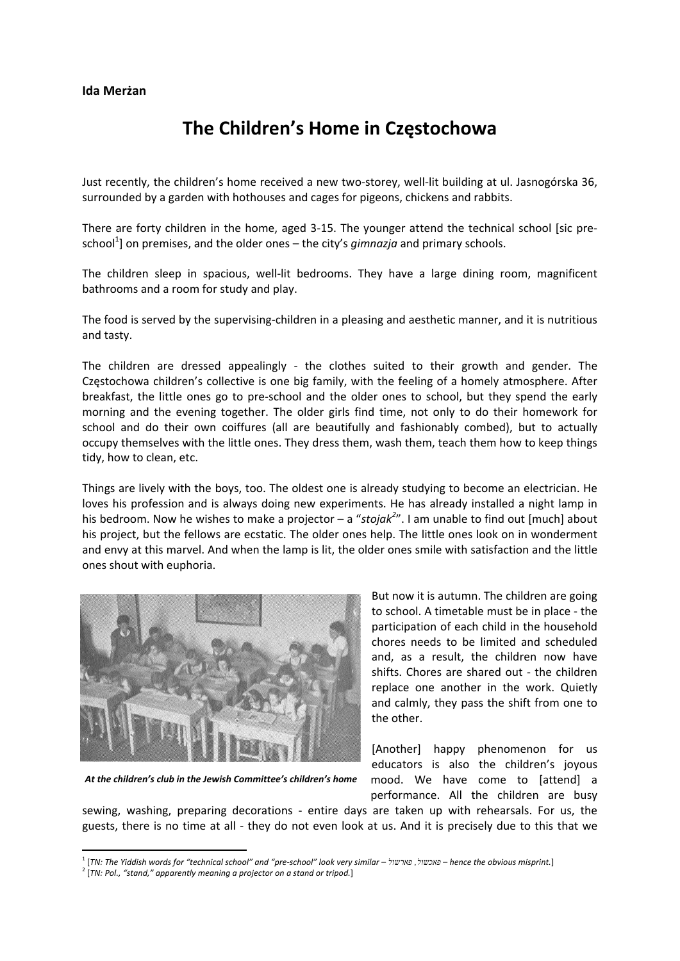## **The Children's Home in Częstochowa**

Just recently, the children's home received a new two‐storey, well‐lit building at ul. Jasnogórska 36, surrounded by a garden with hothouses and cages for pigeons, chickens and rabbits.

There are forty children in the home, aged 3-15. The younger attend the technical school [sic preschool<sup>1</sup>] on premises, and the older ones – the city's *gimnazja* and primary schools.

The children sleep in spacious, well‐lit bedrooms. They have a large dining room, magnificent bathrooms and a room for study and play.

The food is served by the supervising‐children in a pleasing and aesthetic manner, and it is nutritious and tasty.

The children are dressed appealingly - the clothes suited to their growth and gender. The Częstochowa children's collective is one big family, with the feeling of a homely atmosphere. After breakfast, the little ones go to pre‐school and the older ones to school, but they spend the early morning and the evening together. The older girls find time, not only to do their homework for school and do their own coiffures (all are beautifully and fashionably combed), but to actually occupy themselves with the little ones. They dress them, wash them, teach them how to keep things tidy, how to clean, etc.

Things are lively with the boys, too. The oldest one is already studying to become an electrician. He loves his profession and is always doing new experiments. He has already installed a night lamp in his bedroom. Now he wishes to make a projector – a "*stojak<sup>2</sup>* ". I am unable to find out [much] about his project, but the fellows are ecstatic. The older ones help. The little ones look on in wonderment and envy at this marvel. And when the lamp is lit, the older ones smile with satisfaction and the little ones shout with euphoria.



*At the children's club in the Jewish Committee's children's home*

But now it is autumn. The children are going to school. A timetable must be in place ‐ the participation of each child in the household chores needs to be limited and scheduled and, as a result, the children now have shifts. Chores are shared out ‐ the children replace one another in the work. Quietly and calmly, they pass the shift from one to the other.

[Another] happy phenomenon for us educators is also the children's joyous mood. We have come to [attend] a performance. All the children are busy

sewing, washing, preparing decorations - entire days are taken up with rehearsals. For us, the guests, there is no time at all - they do not even look at us. And it is precisely due to this that we

<sup>&</sup>lt;sup>1</sup> [TN: The Yiddish words for "technical school" and "pre-school" look very similar – פאכשול, פארשול, 159 – hence the obvious misprint

<sup>2</sup> [*TN: Pol., "stand," apparently meaning a projector on a stand or tripod.*]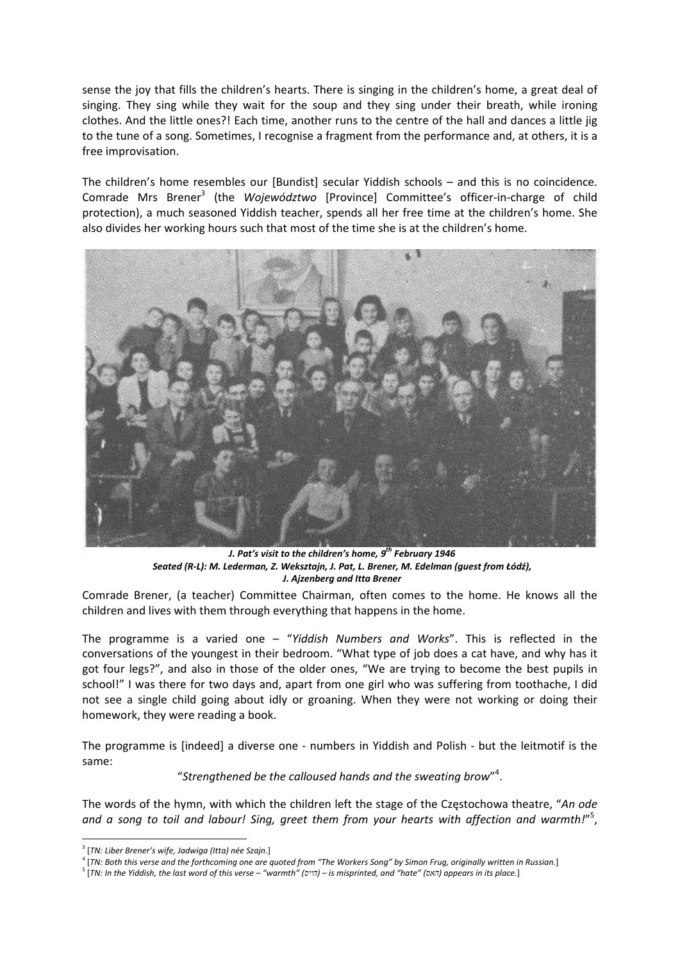sense the joy that fills the children's hearts. There is singing in the children's home, a great deal of singing. They sing while they wait for the soup and they sing under their breath, while ironing clothes. And the little ones?! Each time, another runs to the centre of the hall and dances a little jig to the tune of a song. Sometimes, I recognise a fragment from the performance and, at others, it is a free improvisation.

The children's home resembles our [Bundist] secular Yiddish schools – and this is no coincidence. Comrade Mrs Brener<sup>3</sup> (the *Województwo* [Province] Committee's officer‐in‐charge of child protection), a much seasoned Yiddish teacher, spends all her free time at the children's home. She also divides her working hours such that most of the time she is at the children's home.



*J. Pat's visit to the children's home, 9 th February 1946*  Seated (R-L): M. Lederman, Z. Weksztajn, J. Pat, L. Brener, M. Edelman (guest from Łódź), *J. Ajzenberg and Itta Brener* 

Comrade Brener, (a teacher) Committee Chairman, often comes to the home. He knows all the children and lives with them through everything that happens in the home.

The programme is a varied one – "*Yiddish Numbers and Works*". This is reflected in the conversations of the youngest in their bedroom. "What type of job does a cat have, and why has it got four legs?", and also in those of the older ones, "We are trying to become the best pupils in school!" I was there for two days and, apart from one girl who was suffering from toothache, I did not see a single child going about idly or groaning. When they were not working or doing their homework, they were reading a book.

The programme is [indeed] a diverse one - numbers in Yiddish and Polish - but the leitmotif is the same:

"*Strengthened be the calloused hands and the sweating brow*" 4 .

The words of the hymn, with which the children left the stage of the Częstochowa theatre, "*An ode and a song to toil and labour! Sing, greet them from your hearts with affection and warmth!*" 5 ,

<sup>3</sup> [*TN: Liber Brener's wife, Jadwiga (Itta) née Szajn.*]

<sup>&</sup>lt;sup>4</sup> [TN: Both this verse and the forthcoming one are quoted from "The Workers Song" by Simon Frug, originally written in Russian.]

<sup>&</sup>lt;sup>5</sup> [TN: In the Yiddish, the last word of this verse – "warmth" (הייס) – is misprinted, and "hate" (האס) appears in its place.]